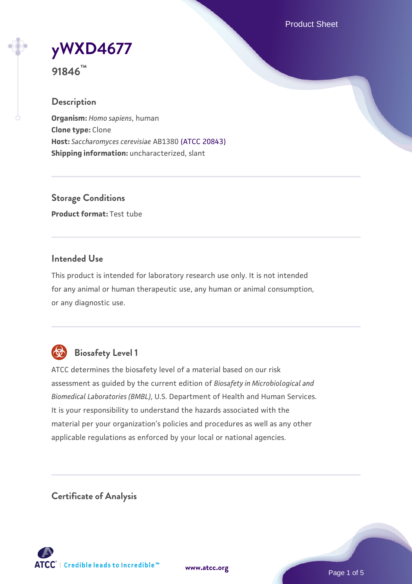Product Sheet

**[yWXD4677](https://www.atcc.org/products/91846)**

**91846™**

## **Description**

**Organism:** *Homo sapiens*, human **Clone type:** Clone **Host:** *Saccharomyces cerevisiae* AB1380 [\(ATCC 20843\)](https://www.atcc.org/products/20843) **Shipping information:** uncharacterized, slant

**Storage Conditions Product format:** Test tube

# **Intended Use**

This product is intended for laboratory research use only. It is not intended for any animal or human therapeutic use, any human or animal consumption, or any diagnostic use.



# **Biosafety Level 1**

ATCC determines the biosafety level of a material based on our risk assessment as guided by the current edition of *Biosafety in Microbiological and Biomedical Laboratories (BMBL)*, U.S. Department of Health and Human Services. It is your responsibility to understand the hazards associated with the material per your organization's policies and procedures as well as any other applicable regulations as enforced by your local or national agencies.

**Certificate of Analysis**

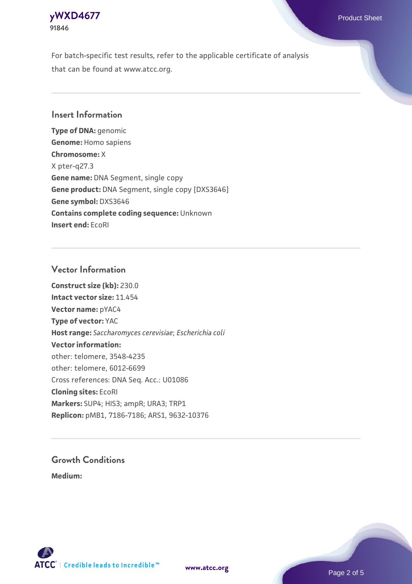

For batch-specific test results, refer to the applicable certificate of analysis that can be found at www.atcc.org.

## **Insert Information**

**Type of DNA:** genomic **Genome:** Homo sapiens **Chromosome:** X X pter-q27.3 **Gene name:** DNA Segment, single copy **Gene product:** DNA Segment, single copy [DXS3646] **Gene symbol:** DXS3646 **Contains complete coding sequence:** Unknown **Insert end:** EcoRI

#### **Vector Information**

**Construct size (kb):** 230.0 **Intact vector size:** 11.454 **Vector name:** pYAC4 **Type of vector:** YAC **Host range:** *Saccharomyces cerevisiae*; *Escherichia coli* **Vector information:** other: telomere, 3548-4235 other: telomere, 6012-6699 Cross references: DNA Seq. Acc.: U01086 **Cloning sites:** EcoRI **Markers:** SUP4; HIS3; ampR; URA3; TRP1 **Replicon:** pMB1, 7186-7186; ARS1, 9632-10376

# **Growth Conditions**

**Medium:** 



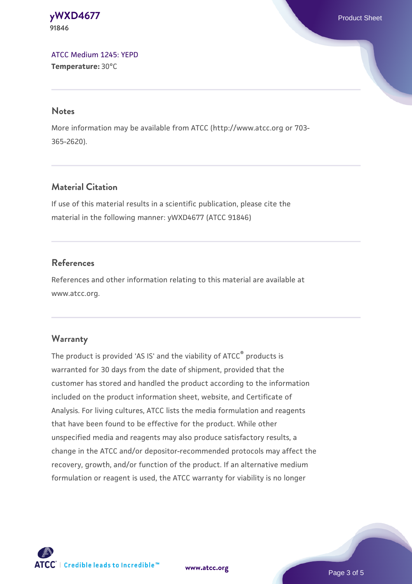**[yWXD4677](https://www.atcc.org/products/91846)** Product Sheet **91846**

[ATCC Medium 1245: YEPD](https://www.atcc.org/-/media/product-assets/documents/microbial-media-formulations/1/2/4/5/atcc-medium-1245.pdf?rev=705ca55d1b6f490a808a965d5c072196) **Temperature:** 30°C

#### **Notes**

More information may be available from ATCC (http://www.atcc.org or 703- 365-2620).

# **Material Citation**

If use of this material results in a scientific publication, please cite the material in the following manner: yWXD4677 (ATCC 91846)

## **References**

References and other information relating to this material are available at www.atcc.org.

#### **Warranty**

The product is provided 'AS IS' and the viability of ATCC® products is warranted for 30 days from the date of shipment, provided that the customer has stored and handled the product according to the information included on the product information sheet, website, and Certificate of Analysis. For living cultures, ATCC lists the media formulation and reagents that have been found to be effective for the product. While other unspecified media and reagents may also produce satisfactory results, a change in the ATCC and/or depositor-recommended protocols may affect the recovery, growth, and/or function of the product. If an alternative medium formulation or reagent is used, the ATCC warranty for viability is no longer

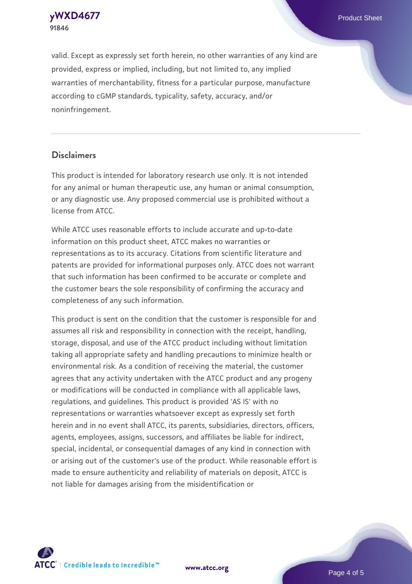**91846**

valid. Except as expressly set forth herein, no other warranties of any kind are provided, express or implied, including, but not limited to, any implied warranties of merchantability, fitness for a particular purpose, manufacture according to cGMP standards, typicality, safety, accuracy, and/or noninfringement.

#### **Disclaimers**

This product is intended for laboratory research use only. It is not intended for any animal or human therapeutic use, any human or animal consumption, or any diagnostic use. Any proposed commercial use is prohibited without a license from ATCC.

While ATCC uses reasonable efforts to include accurate and up-to-date information on this product sheet, ATCC makes no warranties or representations as to its accuracy. Citations from scientific literature and patents are provided for informational purposes only. ATCC does not warrant that such information has been confirmed to be accurate or complete and the customer bears the sole responsibility of confirming the accuracy and completeness of any such information.

This product is sent on the condition that the customer is responsible for and assumes all risk and responsibility in connection with the receipt, handling, storage, disposal, and use of the ATCC product including without limitation taking all appropriate safety and handling precautions to minimize health or environmental risk. As a condition of receiving the material, the customer agrees that any activity undertaken with the ATCC product and any progeny or modifications will be conducted in compliance with all applicable laws, regulations, and guidelines. This product is provided 'AS IS' with no representations or warranties whatsoever except as expressly set forth herein and in no event shall ATCC, its parents, subsidiaries, directors, officers, agents, employees, assigns, successors, and affiliates be liable for indirect, special, incidental, or consequential damages of any kind in connection with or arising out of the customer's use of the product. While reasonable effort is made to ensure authenticity and reliability of materials on deposit, ATCC is not liable for damages arising from the misidentification or



**[www.atcc.org](http://www.atcc.org)**

Page 4 of 5